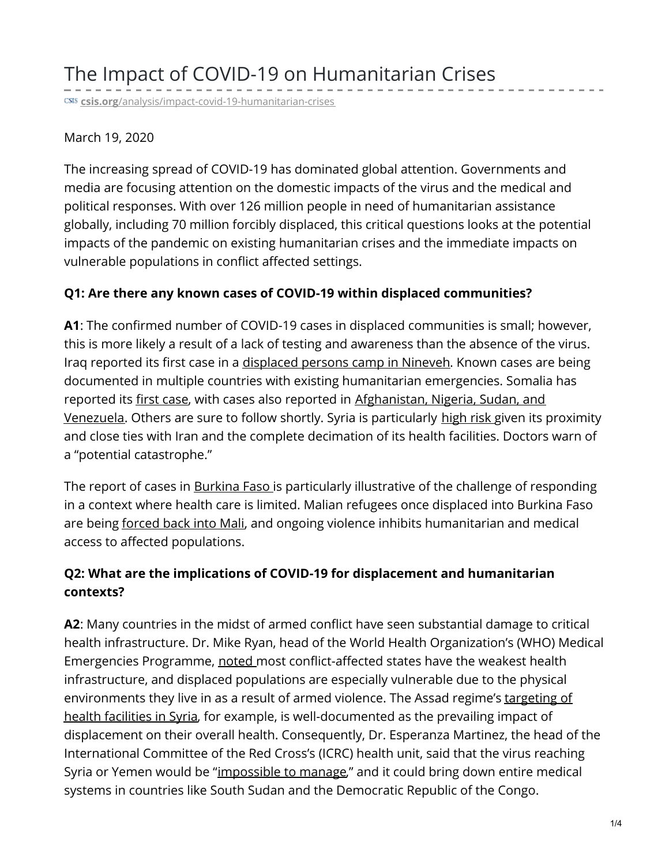# The Impact of COVID-19 on Humanitarian Crises

**csis.org**[/analysis/impact-covid-19-humanitarian-crises](https://www.csis.org/analysis/impact-covid-19-humanitarian-crises?utm_source=CSIS+All&utm_campaign=df18314776-EMAIL_CAMPAIGN_2020_03_18_05_44_COPY_01&utm_medium=email&utm_term=0_f326fc46b6-df18314776-222176853)

#### March 19, 2020

The increasing spread of COVID-19 has dominated global attention. Governments and media are focusing attention on the domestic impacts of the virus and the medical and political responses. With over 126 million people in need of humanitarian assistance globally, including 70 million forcibly displaced, this critical questions looks at the potential impacts of the pandemic on existing humanitarian crises and the immediate impacts on vulnerable populations in conflict affected settings.

#### **Q1: Are there any known cases of COVID-19 within displaced communities?**

**A1**: The confirmed number of COVID-19 cases in displaced communities is small; however, this is more likely a result of a lack of testing and awareness than the absence of the virus. Iraq reported its first case in a [displaced](https://www.thenational.ae/world/mena/coronavirus-would-be-impossible-to-manage-in-conflict-zones-says-red-cross-head-of-health-1.991879?fbclid=IwAR1tGlU7DCrd3AmFNB3HHh2cxm_xYULODrp120qC7GepA8s-ltMp2hPp3cc) persons camp in Nineveh. Known cases are being documented in multiple countries with existing humanitarian emergencies. Somalia has reported its first [case](https://www.voanews.com/science-health/coronavirus-outbreak/somalia-confirms-first-case-coronavirus), with cases also reported in [Afghanistan,](https://www.bing.com/covid) Nigeria, Sudan, and Venezuela. Others are sure to follow shortly. Syria is particularly [high](https://www.aljazeera.com/news/2020/03/concern-mounts-catastrophic-coronavirus-outbreak-syria-200316003354976.html) risk given its proximity and close ties with Iran and the complete decimation of its health facilities. Doctors warn of a "potential catastrophe."

The report of cases in **[Burkina](https://www.aljazeera.com/news/2020/03/burkina-faso-covid-19-fight-complicated-war-displacement-200316053216529.html) Faso is particularly illustrative of the challenge of responding** in a context where health care is limited. Malian refugees once displaced into Burkina Faso are being [forced](https://www.unhcr.org/en-us/news/briefing/2020/3/5e6b56774/violence-burkina-faso-forces-malian-refugees-return-home.html) back into Mali, and ongoing violence inhibits humanitarian and medical access to affected populations.

### **Q2: What are the implications of COVID-19 for displacement and humanitarian contexts?**

**A2**: Many countries in the midst of armed conflict have seen substantial damage to critical health infrastructure. Dr. Mike Ryan, head of the World Health Organization's (WHO) Medical Emergencies Programme, [noted](https://www.thenewhumanitarian.org/interview/2020/03/12/qa-who-michael-ryan-coronavirus-countries-crisis-conflict) most conflict-affected states have the weakest health infrastructure, and displaced populations are especially vulnerable due to the physical environments they live in as a result of armed violence. The Assad regime's targeting of health facilities in Syria, for example, is [well-documented](https://www.csis.org/features/new-barbarianism) as the prevailing impact of displacement on their overall health. Consequently, Dr. Esperanza Martinez, the head of the International Committee of the Red Cross's (ICRC) health unit, said that the virus reaching Syria or Yemen would be "[impossible](https://www.thenational.ae/world/mena/coronavirus-would-be-impossible-to-manage-in-conflict-zones-says-red-cross-head-of-health-1.991879?fbclid=IwAR1tGlU7DCrd3AmFNB3HHh2cxm_xYULODrp120qC7GepA8s-ltMp2hPp3cc) to manage," and it could bring down entire medical systems in countries like South Sudan and the Democratic Republic of the Congo.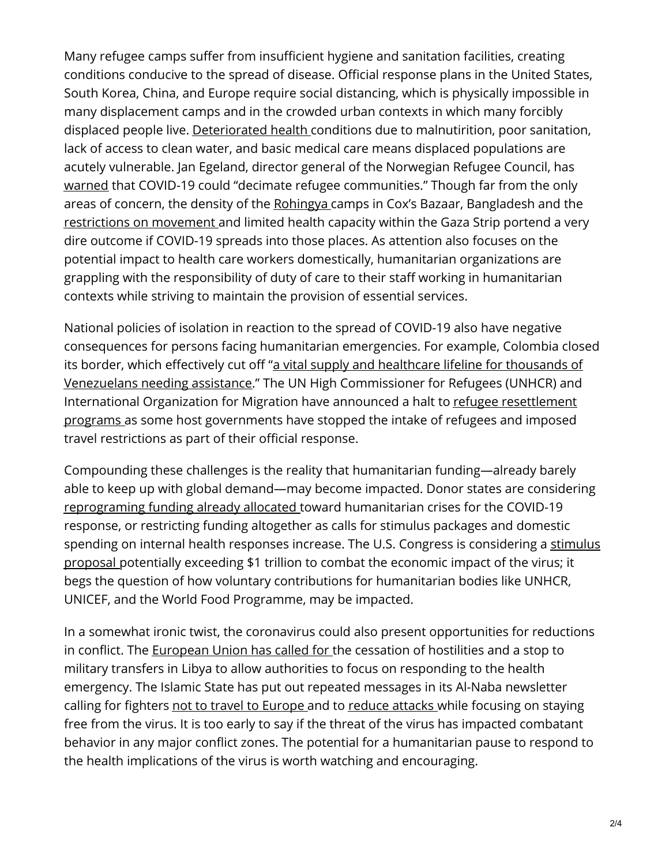Many refugee camps suffer from insufficient hygiene and sanitation facilities, creating conditions conducive to the spread of disease. Official response plans in the United States, South Korea, China, and Europe require social distancing, which is physically impossible in many displacement camps and in the crowded urban contexts in which many forcibly displaced people live. [Deteriorated](https://www.npr.org/sections/goatsandsoda/2020/03/11/814473308/opinion-refugees-are-especially-vulnerable-to-covid-19-dont-ignore-their-needs) health conditions due to malnutirition, poor sanitation, lack of access to clean water, and basic medical care means displaced populations are acutely vulnerable. Jan Egeland, director general of the Norwegian Refugee Council, has [warned](https://www.nrc.no/news/2020/march/coronavirus/) that COVID-19 could "decimate refugee communities." Though far from the only areas of concern, the density of the [Rohingya](https://www.aa.com.tr/en/asia-pacific/coronavirus-fear-grips-rohingya-camps-in-bangladesh/1764588) camps in Cox's Bazaar, Bangladesh and the [restrictions](https://www.jpost.com/Middle-East/Concerns-grows-over-an-outbreak-of-coronavirus-in-Gaza-621035) on movement and limited health capacity within the Gaza Strip portend a very dire outcome if COVID-19 spreads into those places. As attention also focuses on the potential impact to health care workers domestically, humanitarian organizations are grappling with the responsibility of duty of care to their staff working in humanitarian contexts while striving to maintain the provision of essential services.

National policies of isolation in reaction to the spread of COVID-19 also have negative consequences for persons facing humanitarian emergencies. For example, Colombia closed its border, which effectively cut off "a vital supply and healthcare lifeline for thousands of Venezuelans needing assistance." The UN High [Commissioner](https://www.thenewhumanitarian.org/news/2020/03/16/colombia-venezuela-border-closure-coronavirus) for Refugees (UNHCR) and [International](https://reliefweb.int/report/world/iom-unhcr-announce-temporary-suspension-resettlement-travel-refugees) Organization for Migration have announced a halt to refugee resettlement programs as some host governments have stopped the intake of refugees and imposed travel restrictions as part of their official response.

Compounding these challenges is the reality that humanitarian funding—already barely able to keep up with global demand—may become impacted. Donor states are considering [reprograming](https://www.thenewhumanitarian.org/news/2020/03/12/Coronavirus-emergency-aid-funding) funding already allocated toward humanitarian crises for the COVID-19 response, or restricting funding altogether as calls for stimulus packages and domestic spending on internal health responses increase. The U.S. Congress is [considering](https://www.washingtonpost.com/us-policy/2020/03/17/trump-coronavirus-stimulus-package/) a stimulus proposal potentially exceeding \$1 trillion to combat the economic impact of the virus; it begs the question of how voluntary contributions for humanitarian bodies like UNHCR, UNICEF, and the World Food Programme, may be impacted.

In a somewhat ironic twist, the coronavirus could also present opportunities for reductions in conflict. The [European](https://eeas.europa.eu/delegations/libya/76170/call-humanitarian-cessation-hostilities-libya-light-coronavirus_en) Union has called for the cessation of hostilities and a stop to military transfers in Libya to allow authorities to focus on responding to the health emergency. The Islamic State has put out repeated messages in its Al-Naba newsletter calling for fighters not to travel to [Europe](https://www.independent.co.uk/news/world/middle-east/coronavirus-isis-europe-spain-italy-france-uk-covid-19-pandemic-latest-a9403421.html) and to reduce [attacks](http://saharareporters.com/2020/03/17/coronavirus-isis-warns-fighters-stay-safe-not-kill) while focusing on staying free from the virus. It is too early to say if the threat of the virus has impacted combatant behavior in any major conflict zones. The potential for a humanitarian pause to respond to the health implications of the virus is worth watching and encouraging.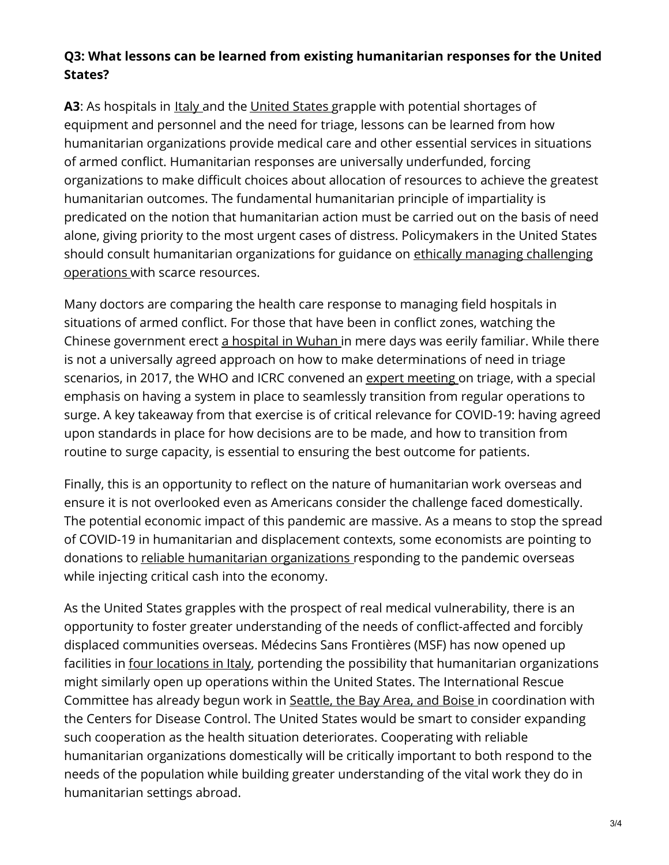## **Q3: What lessons can be learned from existing humanitarian responses for the United States?**

**A3**: As hospitals in <u>[Italy](https://www.theatlantic.com/ideas/archive/2020/03/who-gets-hospital-bed/607807/)</u> and the [United](https://www.theatlantic.com/ideas/archive/2020/03/one-doctor-prepares-coronavirus/608068/) States grapple with potential shortages of equipment and personnel and the need for triage, lessons can be learned from how humanitarian organizations provide medical care and other essential services in situations of armed conflict. Humanitarian responses are universally underfunded, forcing organizations to make difficult choices about allocation of resources to achieve the greatest humanitarian outcomes. The fundamental humanitarian principle of impartiality is predicated on the notion that humanitarian action must be carried out on the basis of need alone, giving priority to the most urgent cases of distress. Policymakers in the United States should consult [humanitarian](https://www.thenewhumanitarian.org/opinion/2020/03/18/coronavirus-pandemic-emergency-ethics) organizations for guidance on ethically managing challenging operations with scarce resources.

Many doctors are comparing the health care response to managing field hospitals in situations of armed conflict. For those that have been in conflict zones, watching the Chinese government erect a [hospital](https://www.csis.org/analysis/coronavirus-update-rapid-construction-medical-facilities) in Wuhan in mere days was eerily familiar. While there is not a universally agreed approach on how to make determinations of need in triage scenarios, in 2017, the WHO and ICRC convened an expert [meeting](https://www.humanitarianresponse.info/en/operations/stima/document/guidance-triage) on triage, with a special emphasis on having a system in place to seamlessly transition from regular operations to surge. A key takeaway from that exercise is of critical relevance for COVID-19: having agreed upon standards in place for how decisions are to be made, and how to transition from routine to surge capacity, is essential to ensuring the best outcome for patients.

Finally, this is an opportunity to reflect on the nature of humanitarian work overseas and ensure it is not overlooked even as Americans consider the challenge faced domestically. The potential economic impact of this pandemic are massive. As a means to stop the spread of COVID-19 in humanitarian and displacement contexts, some economists are pointing to donations to reliable [humanitarian](https://www.washingtonpost.com/opinions/2020/03/16/some-ways-people-can-help-soften-economic-impact-coronavirus-locally-globally/) organizations responding to the pandemic overseas while injecting critical cash into the economy.

As the United States grapples with the prospect of real medical vulnerability, there is an opportunity to foster greater understanding of the needs of conflict-affected and forcibly displaced communities overseas. Médecins Sans Frontières (MSF) has now opened up facilities in four [locations](https://www.msf.org/msf-starts-covid-19-coronavirus-response-activities-hospitals-italy) in Italy, portending the possibility that humanitarian organizations might similarly open up operations within the United States. The International Rescue Committee has already begun work in [Seattle,](https://www.rescue.org/article/coronavirus-update-who-will-be-hit-hardest-outbreak) the Bay Area, and Boise in coordination with the Centers for Disease Control. The United States would be smart to consider expanding such cooperation as the health situation deteriorates. Cooperating with reliable humanitarian organizations domestically will be critically important to both respond to the needs of the population while building greater understanding of the vital work they do in humanitarian settings abroad.